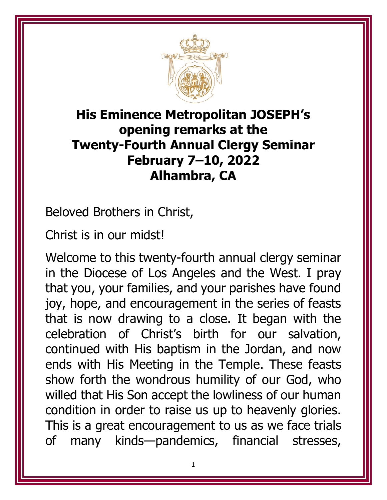

## **His Eminence Metropolitan JOSEPH's opening remarks at the Twenty-Fourth Annual Clergy Seminar February 7–10, 2022 Alhambra, CA**

Beloved Brothers in Christ,

Christ is in our midst!

Welcome to this twenty-fourth annual clergy seminar in the Diocese of Los Angeles and the West. I pray that you, your families, and your parishes have found joy, hope, and encouragement in the series of feasts that is now drawing to a close. It began with the celebration of Christ's birth for our salvation, continued with His baptism in the Jordan, and now ends with His Meeting in the Temple. These feasts show forth the wondrous humility of our God, who willed that His Son accept the lowliness of our human condition in order to raise us up to heavenly glories. This is a great encouragement to us as we face trials of many kinds—pandemics, financial stresses,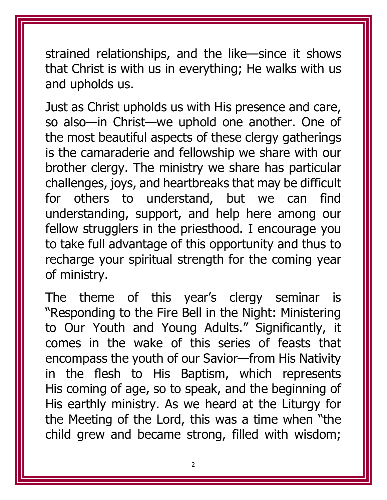strained relationships, and the like—since it shows that Christ is with us in everything; He walks with us and upholds us.

Just as Christ upholds us with His presence and care, so also—in Christ—we uphold one another. One of the most beautiful aspects of these clergy gatherings is the camaraderie and fellowship we share with our brother clergy. The ministry we share has particular challenges, joys, and heartbreaks that may be difficult for others to understand, but we can find understanding, support, and help here among our fellow strugglers in the priesthood. I encourage you to take full advantage of this opportunity and thus to recharge your spiritual strength for the coming year of ministry.

The theme of this year's clergy seminar is "Responding to the Fire Bell in the Night: Ministering to Our Youth and Young Adults." Significantly, it comes in the wake of this series of feasts that encompass the youth of our Savior—from His Nativity in the flesh to His Baptism, which represents His coming of age, so to speak, and the beginning of His earthly ministry. As we heard at the Liturgy for the Meeting of the Lord, this was a time when "the child grew and became strong, filled with wisdom;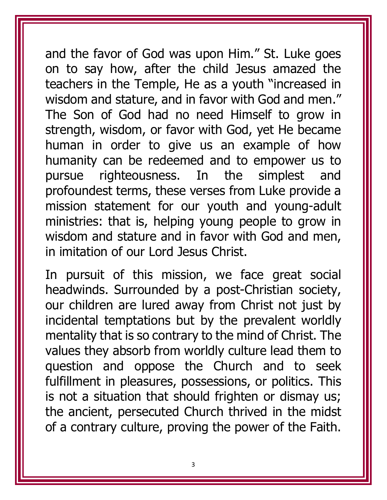and the favor of God was upon Him." St. Luke goes on to say how, after the child Jesus amazed the teachers in the Temple, He as a youth "increased in wisdom and stature, and in favor with God and men." The Son of God had no need Himself to grow in strength, wisdom, or favor with God, yet He became human in order to give us an example of how humanity can be redeemed and to empower us to pursue righteousness. In the simplest and profoundest terms, these verses from Luke provide a mission statement for our youth and young-adult ministries: that is, helping young people to grow in wisdom and stature and in favor with God and men, in imitation of our Lord Jesus Christ.

In pursuit of this mission, we face great social headwinds. Surrounded by a post-Christian society, our children are lured away from Christ not just by incidental temptations but by the prevalent worldly mentality that is so contrary to the mind of Christ. The values they absorb from worldly culture lead them to question and oppose the Church and to seek fulfillment in pleasures, possessions, or politics. This is not a situation that should frighten or dismay us; the ancient, persecuted Church thrived in the midst of a contrary culture, proving the power of the Faith.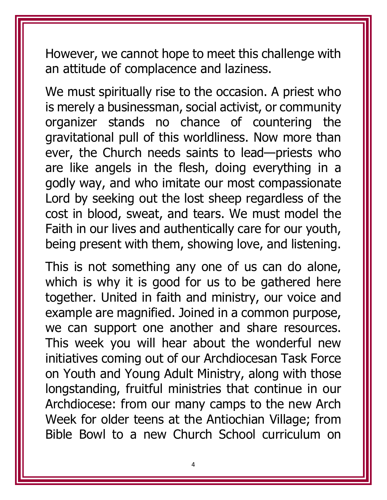However, we cannot hope to meet this challenge with an attitude of complacence and laziness.

We must spiritually rise to the occasion. A priest who is merely a businessman, social activist, or community organizer stands no chance of countering the gravitational pull of this worldliness. Now more than ever, the Church needs saints to lead—priests who are like angels in the flesh, doing everything in a godly way, and who imitate our most compassionate Lord by seeking out the lost sheep regardless of the cost in blood, sweat, and tears. We must model the Faith in our lives and authentically care for our youth, being present with them, showing love, and listening.

This is not something any one of us can do alone, which is why it is good for us to be gathered here together. United in faith and ministry, our voice and example are magnified. Joined in a common purpose, we can support one another and share resources. This week you will hear about the wonderful new initiatives coming out of our Archdiocesan Task Force on Youth and Young Adult Ministry, along with those longstanding, fruitful ministries that continue in our Archdiocese: from our many camps to the new Arch Week for older teens at the Antiochian Village; from Bible Bowl to a new Church School curriculum on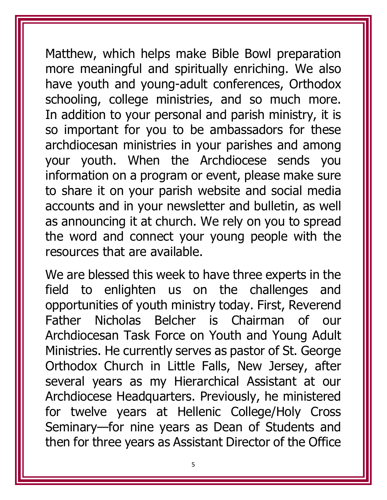Matthew, which helps make Bible Bowl preparation more meaningful and spiritually enriching. We also have youth and young-adult conferences, Orthodox schooling, college ministries, and so much more. In addition to your personal and parish ministry, it is so important for you to be ambassadors for these archdiocesan ministries in your parishes and among your youth. When the Archdiocese sends you information on a program or event, please make sure to share it on your parish website and social media accounts and in your newsletter and bulletin, as well as announcing it at church. We rely on you to spread the word and connect your young people with the resources that are available.

We are blessed this week to have three experts in the field to enlighten us on the challenges and opportunities of youth ministry today. First, Reverend Father Nicholas Belcher is Chairman of our Archdiocesan Task Force on Youth and Young Adult Ministries. He currently serves as pastor of St. George Orthodox Church in Little Falls, New Jersey, after several years as my Hierarchical Assistant at our Archdiocese Headquarters. Previously, he ministered for twelve years at Hellenic College/Holy Cross Seminary—for nine years as Dean of Students and then for three years as Assistant Director of the Office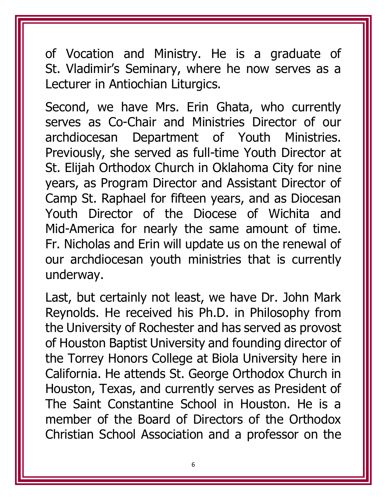of Vocation and Ministry. He is a graduate of St. Vladimir's Seminary, where he now serves as a Lecturer in Antiochian Liturgics.

Second, we have Mrs. Erin Ghata, who currently serves as Co-Chair and Ministries Director of our archdiocesan Department of Youth Ministries. Previously, she served as full-time Youth Director at St. Elijah Orthodox Church in Oklahoma City for nine years, as Program Director and Assistant Director of Camp St. Raphael for fifteen years, and as Diocesan Youth Director of the Diocese of Wichita and Mid-America for nearly the same amount of time. Fr. Nicholas and Erin will update us on the renewal of our archdiocesan youth ministries that is currently underway.

Last, but certainly not least, we have Dr. John Mark Reynolds. He received his Ph.D. in Philosophy from the University of Rochester and has served as provost of Houston Baptist University and founding director of the Torrey Honors College at Biola University here in California. He attends St. George Orthodox Church in Houston, Texas, and currently serves as President of The Saint Constantine School in Houston. He is a member of the Board of Directors of the Orthodox Christian School Association and a professor on the